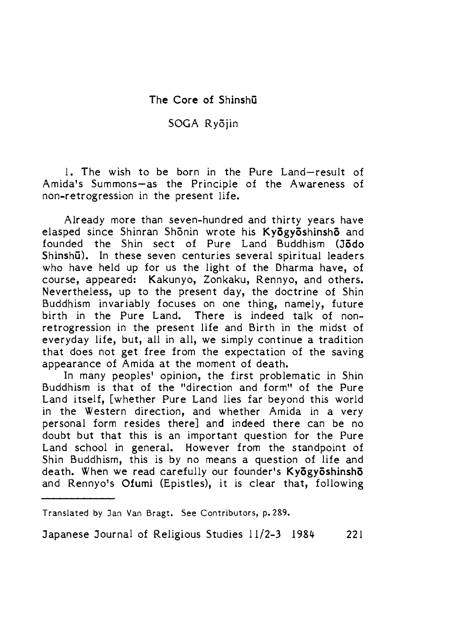#### The Core of Shinshu

### SOGA Ryōjin

1. The wish to be born in the Pure Land-result of Amida's Summons—as the Principle of the Awareness of non-retrogression in the present life.

Already more than seven-hundred and thirty years have elasped since Shinran Shonin wrote his Kyogyoshinsho and founded the Shin sect of Pure Land Buddhism (Jodo Shinshū). In these seven centuries several spiritual leaders who have held up for us the light of the Dharma have, of course, appeared: Kakunyo, Zonkaku, Rennyo, and others. Nevertheless, up to the present day, the doctrine of Shin Buddhism invariably focuses on one thing, namely, future birth in the Pure Land, There is indeed talk of nonretrogression in the present life and Birth in the midst of everyday life, but, all in all, we simply continue a tradition that does not get free from the expectation of the saving appearance of Amida at the moment of death.

In many peoples' opinion, the first problematic in Shin Buddhism is that of the "direction and form" of the Pure Land itself, [whether Pure Land lies far beyond this world in the Western direction, and whether Amida in a very personal form resides there] and indeed there can be no doubt but that this is an important question for the Pure Land school in general. However from the standpoint of Shin Buddhism, this is by no means a question of life and death. When we read carefully our founder's Kyogyoshinsho and Rennyo's Ofumi (Epistles), it is clear that, following

Translated by Jan Van Bragt. See Contributors, p. 289.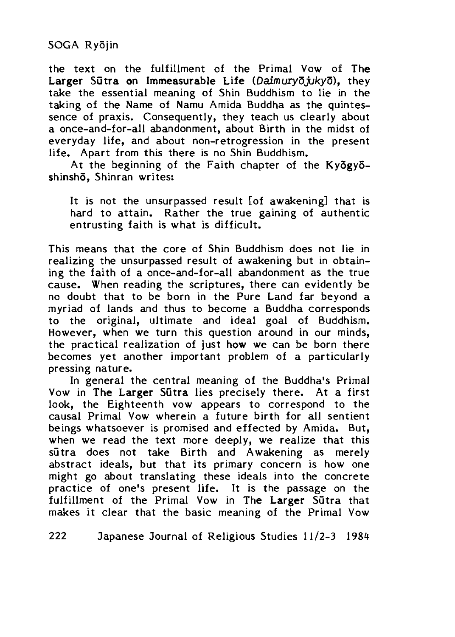## SOGA Ryojin

the text on the fulfillment of the Primal Vow of The Larger Sutra on Immeasurable Life *(Daimurvotukyo)*, they take the essential meaning of Shin Buddhism to lie in the taking of the Name of Namu Amida Buddha as the quintessence of praxis. Consequently, they teach us clearly about a once-and-for-all abandonment, about Birth in the midst of everyday life, and about non-retrogression in the present life. Apart from this there is no Shin Buddhism.

At the beginning of the Faith chapter of the Kyogyoshinsh5, Shinran writes:

It is not the unsurpassed result [of awakening] that is hard to attain. Rather the true gaining of authentic entrusting faith is what is difficult.

This means that the core of Shin Buddhism does not lie in realizing the unsurpassed result of awakening but in obtaining the faith of a once-and-for-all abandonment as the true cause. When reading the scriptures, there can evidently be no doubt that to be born in the Pure Land far beyond a myriad of lands and thus to become a Buddha corresponds to the original, ultimate and ideal goal of Buddhism. However, when we turn this question around in our minds, the practical realization of just how we can be born there becomes yet another important problem of a particularly pressing nature.

In general the central meaning of the Buddha's Primal Vow in The Larger Sutra lies precisely there. At a first look, the Eighteenth vow appears to correspond to the causal Primal Vow wherein a future birth for all sentient beings whatsoever is promised and effected by Amida, But, when we read the text more deeply, we realize that this sütra does not take Birth and Awakening as merely abstract ideals, but that its primary concern is how one might go about translating these ideals into the concrete practice of one's present life. It is the passage on the fulfillment of the Primal Vow in The Larger Sutra that makes it clear that the basic meaning of the Primal Vow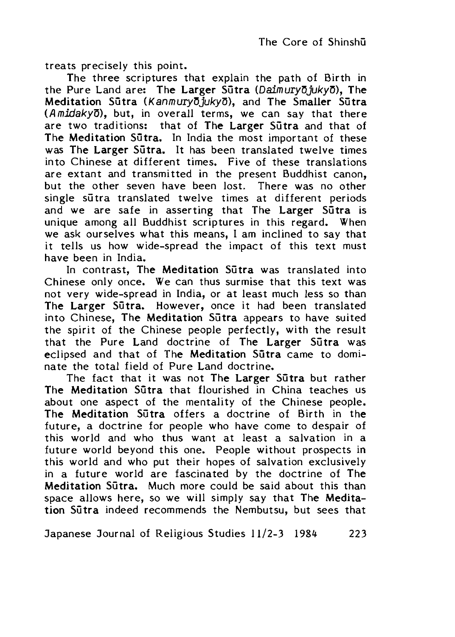treats precisely this point.

The three scriptures that explain the path of Birth in the Pure Land are: The Larger Sutra (D*aimuryDjukyD*), The Meditation Sutra (*Kanmury^jukyo),* and The Smaller Sutra (Amidakyō), but, in overall terms, we can say that there are two traditions: that of The Larger Sutra and that of The Meditation Sūtra. In India the most important of these was The Larger Sutra. It has been translated twelve times into Chinese at different times. Five of these translations are extant and transmitted in the present Buddhist canon, but the other seven have been lost. There was no other single sütra translated twelve times at different periods and we are safe in asserting that The Larger Sutra is unique among all Buddhist scriptures in this regard. When we ask ourselves what this means, I am inclined to say that it tells us how wide-spread the impact of this text must have been in India.

In contrast, The Meditation Sutra was translated into Chinese only once. We can thus surmise that this text was not very wide-spread in India, or at least much less so than The Larger Sūtra. However, once it had been translated into Chinese, The Meditation Sutra appears to have suited the spirit of the Chinese people perfectly, with the result that the Pure Land doctrine of The Larger Sutra was eclipsed and that of The Meditation Sutra came to dominate the total field of Pure Land doctrine.

The fact that it was not The Larger Sutra but rather The Meditation Sutra that flourished in China teaches us about one aspect of the mentality of the Chinese people. The Meditation Sutra offers a doctrine of Birth in the future, a doctrine for people who have come to despair of this world and who thus want at least a salvation in a future world beyond this one. People without prospects in this world and who put their hopes of salvation exclusively in a future world are fascinated by the doctrine of The Meditation Sūtra. Much more could be said about this than space allows here, so we will simply say that The Meditation Sūtra indeed recommends the Nembutsu, but sees that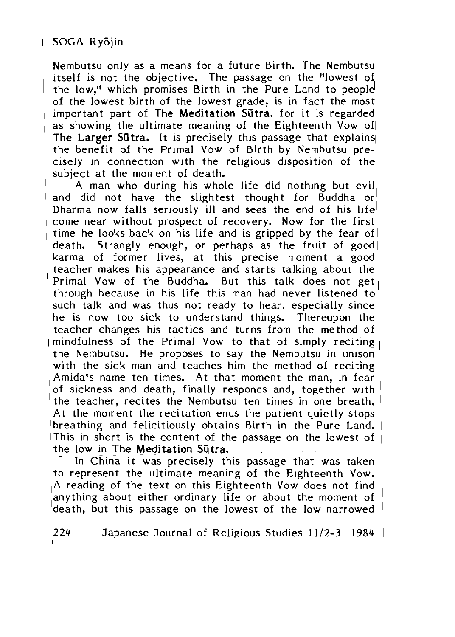Nembutsu only as a means for a future Birth. The Nembutsu itself is not the objective. The passage on the "lowest of the low," which promises Birth in the Pure Land to people of the lowest birth of the lowest grade, is in fact the most important part of The Meditation Sutra, for it is regarded as showing the ultimate meaning of the Eighteenth Vow of The Larger Sutra. It is precisely this passage that explains ( the benefit of the Primal Vow of Birth by Nembutsu pre-| cisely in connection with the religious disposition of the subject at the moment of death.

A man who during his whole life did nothing but evil and did not have the slightest thought for Buddha or Dharma now falls seriously ill and sees the end of his life come near without prospect of recovery. Now for the first time he looks back on his life and is gripped by the fear of death. Strangly enough, or perhaps as the fruit of good  $karma$  of former lives, at this precise moment a good teacher makes his appearance and starts talking about the | Primal Vow of the Buddha. But this talk does not get | through because in his life this man had never listened to such talk and was thus not ready to hear, especially since he is now too sick to understand things. Thereupon the I teacher changes his tactics and turns from the method of  $\lceil$  mindfulness of the Primal Vow to that of simply reciting the Nembutsu. He proposes to say the Nembutsu in unison with the sick man and teaches him the method of reciting Amida's name ten times. At that moment the man, in fear of sickness and death, finally responds and, together with the teacher, recites the Nembutsu ten times in one breath. At the moment the recitation ends the patient quietly stops I breathing and felicitiously obtains Birth in the Pure Land. | I This in short is the content of the passage on the lowest of | I the low in The Meditation Sutra.

In China it was precisely this passage that was taken  $\mu$  to represent the ultimate meaning of the Eighteenth Vow. A reading of the text on this Eighteenth Vow does not find anything about either ordinary life or about the moment of death, but this passage on the lowest of the low narrowed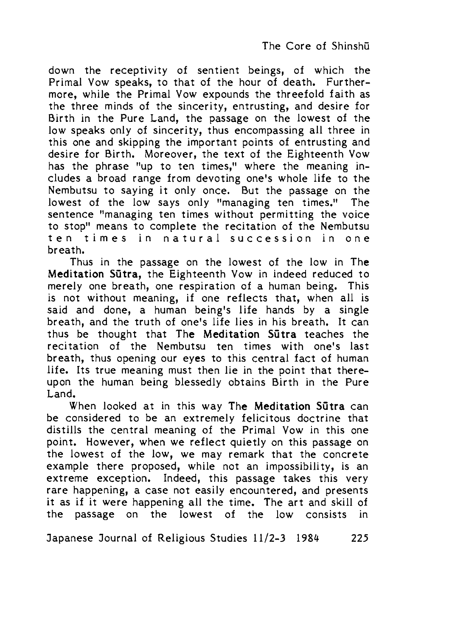down the receptivity of sentient beings, of which the Primal Vow speaks, to that of the hour of death. Furthermore, while the Primal Vow expounds the threefold faith as the three minds of the sincerity, entrusting, and desire for Birth in the Pure Land, the passage on the lowest of the low speaks only of sincerity, thus encompassing all three in this one and skipping the important points of entrusting and desire for Birth. Moreover, the text of the Eighteenth Vow has the phrase "up to ten times," where the meaning includes a broad range from devoting one's whole life to the Nembutsu to saying it only once. But the passage on the lowest of the low says only "managing ten times." The sentence "managing ten times without permitting the voice to stop" means to complete the recitation of the Nembutsu ten times in natural succession in one breath.

Thus in the passage on the lowest of the low in The Meditation Sutra, the Eighteenth Vow in indeed reduced to merely one breath, one respiration of a human being. This is not without meaning, if one reflects that, when all is said and done, a human being's life hands by a single breath, and the truth of one's life lies in his breath. It can thus be thought that The Meditation Sutra teaches the recitation of the Nembutsu ten times with one's last breath, thus opening our eyes to this central fact of human life. Its true meaning must then lie in the point that thereupon the human being blessedly obtains Birth in the Pure Land,

When looked at in this way The Meditation Sutra can be considered to be an extremely felicitous doctrine that distills the central meaning of the Primal Vow in this one point. However, when we reflect quietly on this passage on the lowest of the low, we may remark that the concrete example there proposed, while not an impossibility, is an extreme exception. Indeed, this passage takes this very rare happening, a case not easily encountered, and presents it as if it were happening all the time. The art and skill of the passage on the lowest of the low consists in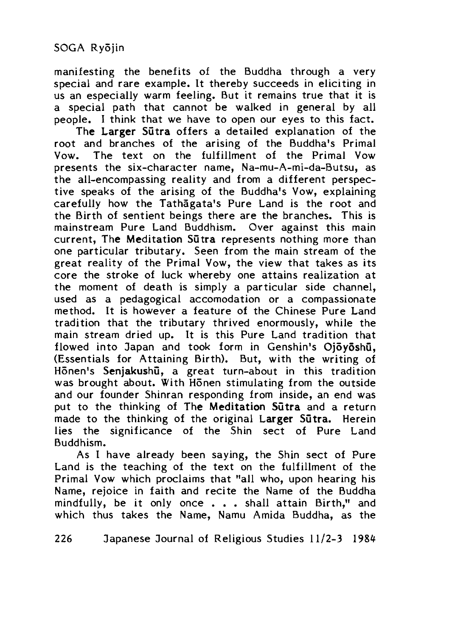manifesting the benefits of the Buddha through a very special and rare example. It thereby succeeds in eliciting in us an especially warm feeling. But it remains true that it is a special path that cannot be walked in general by all people. I think that we have to open our eyes to this fact.

The Larger Sutra offers a detailed explanation of the root and branches of the arising of the Buddha's Primal Vow. The text on the fulfillment of the Primal Vow presents the six-character name, Na-mu-A-mi-da-Butsu, as the all-encompassing reality and from a different perspective speaks of the arising of the Buddha's Vow, explaining carefully how the Tathagata's Pure Land is the root and the Birth of sentient beings there are the branches. This is mainstream Pure Land Buddhism. Over against this main current, The Meditation Sutra represents nothing more than one particular tributary. Seen from the main stream of the great reality of the Primal Vow, the view that takes as its core the stroke of luck whereby one attains realization at the moment of death is simply a particular side channel, used as a pedagogical accomodation or a compassionate method. It is however a feature of the Chinese Pure Land tradition that the tributary thrived enormously, while the main stream dried up. It is this Pure Land tradition that flowed into Japan and took form in Genshin's Ojovoshu. (Essentials for Attaining Birth). But, with the writing of Honen's Senjakushu, a great turn-about in this tradition was brought about. With Honen stimulating from the outside and our founder Shinran responding from inside, an end was put to the thinking of The Meditation Sutra and a return made to the thinking of the original Larger Sutra. Herein lies the significance of the Shin sect of Pure Land Buddhism.

As I have already been saying, the Shin sect of Pure Land is the teaching of the text on the fulfillment of the Primal Vow which proclaims that "all who, upon hearing his Name, rejoice in faith and recite the Name of the Buddha mindfully, be it only once . . . shall attain Birth." and which thus takes the Name, Namu Amida Buddha, as the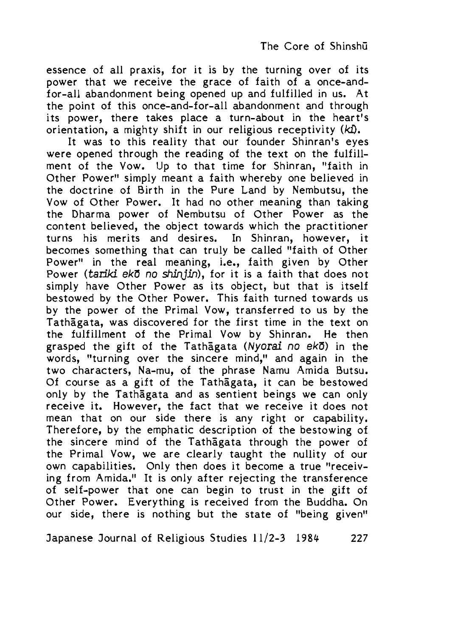essence of all praxis, for it is by the turning over of its power that we receive the grace of faith of a once-andfor-all abandonment being opened up and fulfilled in us. At the point of this once-and-for-all abandonment and through its power, there takes place a turn-about in the heart's orientation, a mighty shift in our religious receptivity (ki).

It was to this reality that our founder Shinran's eyes were opened through the reading of the text on the fulfillment of the Vow. Up to that time for Shinran, "faith in Other Power" simply meant a faith whereby one believed in the doctrine of Birth in the Pure Land by Nembutsu, the Vow of Other Power. It had no other meaning than taking the Dharma power of Nembutsu of Other Power as the content believed, the object towards which the practitioner turns his merits and desires. In Shinran, however, it becomes something that can truly be called "faith of Other Power" in the real meaning, i.e., faith given by Other Power *(tariki eko no shinjin)*, for it is a faith that does not simply have Other Power as its object, but that is itself bestowed by the Other Power. This faith turned towards us by the power of the Primal Vow, transferred to us by the Tathagata, was discovered for the first time in the text on the fulfillment of the Primal Vow by Shinran. He then grasped the gift of the Tathagata *(Nyorai no ekd)* in the words, "turning over the sincere mind," and again in the two characters, Na-mu, of the phrase Namu Amida Butsu. Of course as a gift of the Tathagata, it can be bestowed only by the Tathagata and as sentient beings we can only receive it. However, the fact that we receive it does not mean that on our side there is any right or capability. Therefore, by the emphatic description of the bestowing of the sincere mind of the Tathagata through the power of the Primal Vow, we are clearly taught the nullity of our own capabilities. Only then does it become a true "receiving from Amida." It is only after rejecting the transference of self-power that one can begin to trust in the gift of Other Power. Everything is received from the Buddha. On our side, there is nothing but the state of "being given"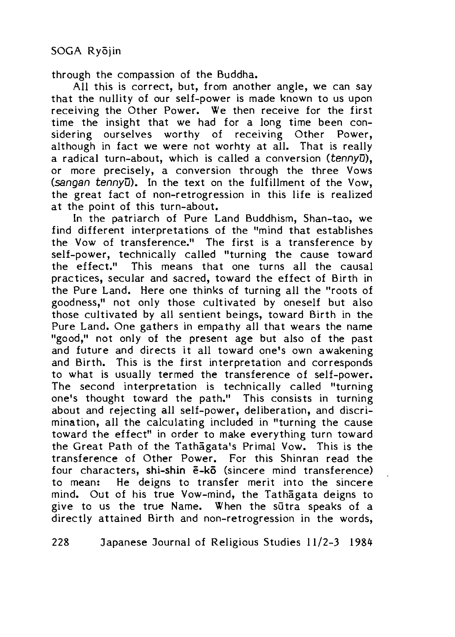through the compassion of the Buddha.

All this is correct, but, from another angle, we can say that the nullity of our self-power is made known to us upon receiving the Other Power. We then receive for the first time the insight that we had for a long time been considering ourselves worthy of receiving Other Power, although in fact we were not worhty at all. That is really a radical turn-about, which is called a conversion (tennyū). or more precisely, a conversion through the three Vows *(ssngan tennyu)•* In the text on the fulfillment of the Vow, the great fact of non-retrogression in this life is realized at the point of this turn-about.

In the patriarch of Pure Land Buddhism, Shan-tao, we find different interpretations of the "mind that establishes the Vow of transference.1' The first is a transference by self-power, technically called "turning the cause toward the effect." This means that one turns all the causal practices, secular and sacred, toward the effect of Birth in the Pure Land. Here one thinks of turning all the "roots of goodness," not only those cultivated by oneself but also those cultivated by all sentient beings, toward Birth in the Pure Land. One gathers in empathy all that wears the name "good," not only of the present age but also of the past and future and directs it all toward one's own awakening and Birth. This is the first interpretation and corresponds to what is usually termed the transference of self-power. The second interpretation is technically called "turning one's thought toward the path." This consists in turning about and rejecting all self-power, deliberation, and discrimination, all the calculating included in "turning the cause toward the effect" in order to make everything turn toward the Great Path of the Tathagata's Primal Vow. This is the transference of Other Power. For this Shinran read the four characters, shi-shin e-ko (sincere mind transference) to mean: He deigns to transfer merit into the sincere mind. Out of his true Vow-mind, the Tathagata deigns to give to us the true Name. When the sutra speaks of a directly attained Birth and non-retrogression in the words,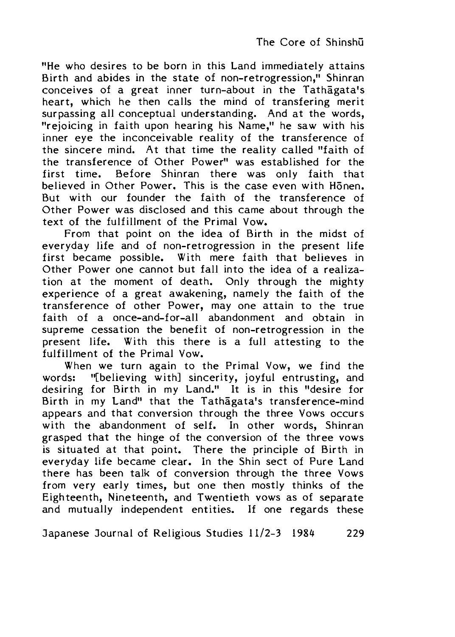"He who desires to be born in this Land immediately attains Birth and abides in the state of non-retrogression," Shinran conceives of a great inner turn-about in the Tathagata\*s heart, which he then calls the mind of transfering merit surpassing all conceptual understanding. And at the words, "rejoicing in faith upon hearing his Name," he saw with his inner eye the inconceivable reality of the transference of the sincere mind. At that time the reality called "faith of the transference of Other Power" was established for the first time. Before Shinran there was only faith that believed in Other Power. This is the case even with H5nen. But with our founder the faith of the transference of Other Power was disclosed and this came about through the text of the fulfillment of the Primal Vow.

From that point on the idea of Birth in the midst of everyday life and of non-retrogression in the present life first became possible. With mere faith that believes in Other Power one cannot but fall into the idea of a realization at the moment of death. Only through the mighty experience of a great awakening, namely the faith of the transference of other Power, may one attain to the true faith of a once-and-for-all abandonment and obtain in supreme cessation the benefit of non-retrogression in the present life. With this there is a full attesting to the fulfillment of the Primal Vow,

When we turn again to the Primal Vow, we find the words: "[believing with] sincerity, joyful entrusting, and desiring for Birth in my Land." It is in this "desire for Birth in my Land" that the Tathagata's transference-mind appears and that conversion through the three Vows occurs with the abandonment of self. In other words, Shinran grasped that the hinge of the conversion of the three vows is situated at that point. There the principle of Birth in everyday life became clear. In the Shin sect of Pure Land there has been talk of conversion through the three Vows from very early times, but one then mostly thinks of the Eighteenth, Nineteenth, and Twentieth vows as of separate and mutually independent entities. If one regards these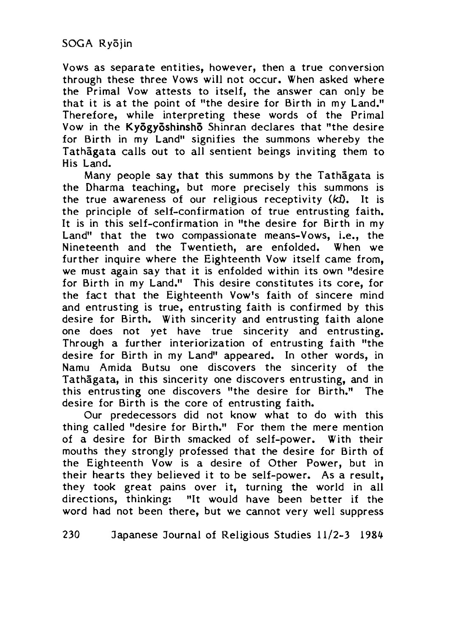Vows as separate entities, however, then a true conversion through these three Vows will not occur. When asked where the Primal Vow attests to itself, the answer can only be that it is at the point of "the desire for Birth in my Land." Therefore, while interpreting these words of the Primal Vow in the Kyōgyōshinshō Shinran declares that "the desire for Birth in my Land" signifies the summons whereby the Tathagata calls out to all sentient beings inviting them to His Land.

Many people say that this summons by the Tathagata is the Dharma teaching, but more precisely this summons is the true awareness of our religious receptivity  $(ki)$ . It is the principle of self-confirmation of true entrusting faith. It is in this self-confirmation in "the desire for Birth in my Land" that the two compassionate means-Vows, i.e., the Nineteenth and the Twentieth, are enfolded. When we further inquire where the Eighteenth Vow itself came from. we must again say that it is enfolded within its own "desire for Birth in my Land." This desire constitutes its core, for the fact that the Eighteenth Vow's faith of sincere mind and entrusting is true, entrusting faith is confirmed by this desire for Birth. With sincerity and entrusting faith alone one does not yet have true sincerity and entrusting. Through a further interiorization of entrusting faith "the desire for Birth in my Land" appeared. In other words, in Namu Amida Butsu one discovers the sincerity of the Tathagata, in this sincerity one discovers entrusting, and in this entrusting one discovers "the desire for Birth." The desire for Birth is the core of entrusting faith.

Our predecessors did not know what to do with this thing called "desire for Birth," For them the mere mention of a desire for Birth smacked of self-power. With their mouths they strongly professed that the desire for Birth of the Eighteenth Vow is a desire of Other Power, but in their hearts they believed it to be self-power. As a result, they took great pains over it, turning the world in all directions, thinking: "It would have been better if the word had not been there, but we cannot very well suppress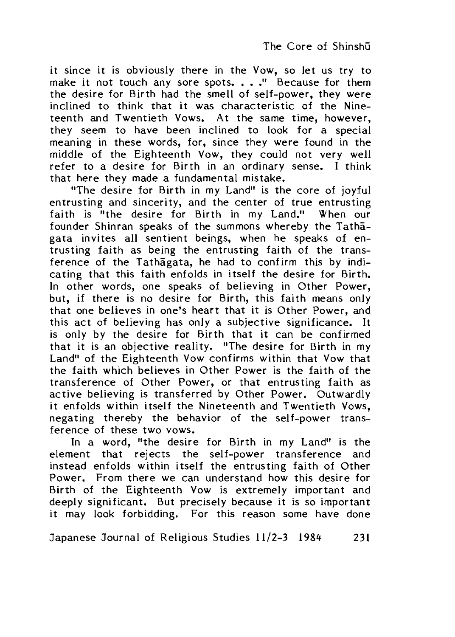it since it is obviously there in the Vow, so let us try to make it not touch any sore spots.  $\ldots$  " Because for them the desire for Birth had the smell of self-power, they were inclined to think that it was characteristic of the Nineteenth and Twentieth Vows. At the same time, however, they seem to have been inclined to look for a special meaning in these words, for, since they were found in the middle of the Eighteenth Vow, they could not very well refer to a desire for Birth in an ordinary sense. I think that here they made a fundamental mistake.

"The desire for Birth in my Land" is the core of joyful entrusting and sincerity, and the center of true entrusting faith is "the desire for Birth in my Land." When our founder Shinran speaks of the summons whereby the Tathagata invites all sentient beings, when he speaks of entrusting faith as being the entrusting faith of the transference of the Tathagata, he had to confirm this by indicating that this faith enfolds in itself the desire for Birth. In other words, one speaks of believing in Other Power, but, if there is no desire for Birth, this faith means only that one believes in one's heart that it is Other Power, and this act of believing has only a subjective significance. It is only by the desire for Birth that it can be confirmed that it is an objective reality. "The desire for Birth in my Land" of the Eighteenth Vow confirms within that Vow that the faith which believes in Other Power is the faith of the transference of Other Power, or that entrusting faith as active believing is transferred by Other Power. Outwardly it enfolds within itself the Nineteenth and Twentieth Vows, negating thereby the behavior of the self-power transference of these two vows.

In a word, "the desire for Birth in my Land" is the element that rejects the self-power transference and instead enfolds within itself the entrusting faith of Other Power. From there we can understand how this desire for Birth of the Eighteenth Vow is extremely important and deeply significant. But precisely because it is so important it may look forbidding. For this reason some have done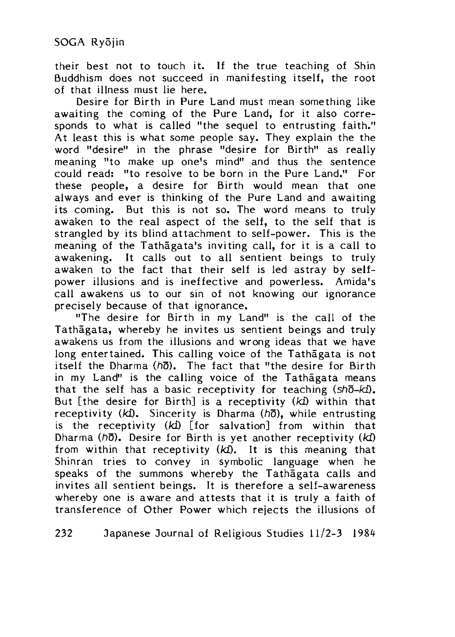their best not to touch it. If the true teaching of Shin Buddhism does not succeed in manifesting itself, the root of that illness must lie here.

Desire for Birth in Pure Land must mean something like awaiting the coming of the Pure Land, for it also corresponds to what is called "the sequel to entrusting faith." At least this is what some people say. They explain the the word "desire" in the phrase "desire for Birth" as really meaning "to make up one's mind" and thus the sentence could read: nto resolve to be born in the Pure Land.'1 For these people, a desire for Birth would mean that one always and ever is thinking of the Pure Land and awaiting its coming. But this is not so. The word means to truly awaken to the real aspect of the self, to the self that is strangled by its blind attachment to self-power. This is the meaning of the Tathagata's inviting call, for it is a call to awakening. It calls out to all sentient beings to truly awaken to the fact that their self is led astray by selfpower illusions and is ineffective and powerless. Amida's call awakens us to our sin of not knowing our ignorance precisely because of that ignorance.

"The desire for Birth in my Land" is the call of the Tathagata, whereby he invites us sentient beings and truly awakens us from the illusions and wrong ideas that we have long entertained. This calling voice of the Tathagata is not itself the Dharma  $(h\overline{o})$ . The fact that "the desire for Birth in my Land" is the calling voice of the Tathagata means that the self has a basic receptivity for teaching *(sho-kJ).* But [the desire for Birth] is a receptivity *(ki)* within that receptivity (ki). Sincerity is Dharma (ho), while entrusting is the receptivity *(ki)* [for salvation] from within that Dharma (ho). Desire for Birth is yet another receptivity (kd) from within that receptivity  $(ki)$ . It is this meaning that Shinran tries to convey in symbolic language when he speaks of the summons whereby the Tathagata calls and invites all sentient beings. It is therefore a self-awareness whereby one is aware and attests that it is truly a faith of transference of Other Power which rejects the illusions of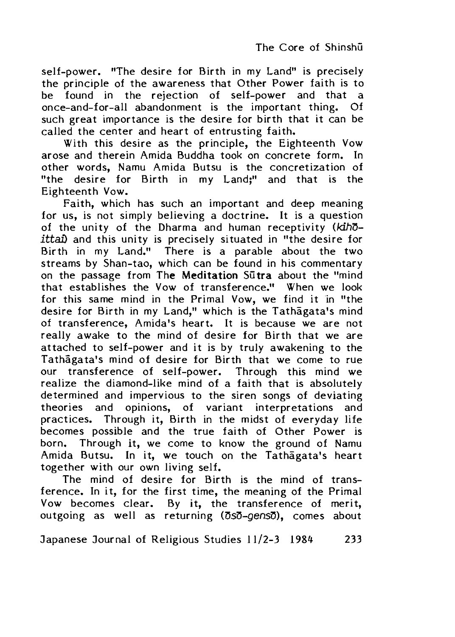self-power. "The desire for Birth in my Land" is precisely the principle of the awareness that Other Power faith is to be found in the rejection of self-power and that a once-and-for-all abandonment is the important thing. Of such great importance is the desire for birth that it can be called the center and heart of entrusting faith.

With this desire as the principle, the Eighteenth Vow arose and therein Amida Buddha took on concrete form. In other words, Namu Amida Butsu is the concretization of "the desire for Birth in my Land;" and that is the Eighteenth Vow.

Faith, which has such an important and deep meaning for us, is not simply believing a doctrine. It is a question of the unity of the Dharma and human receptivity *(fdhdittai*) and this unity is precisely situated in "the desire for Birth in my Land." There is a parable about the two streams by Shan-tao, which can be found in his commentary on the passage from The Meditation Sutra about the "mind that establishes the Vow of transference." When we look for this same mind in the Primal Vow, we find it in "the desire for Birth in my Land." which is the Tathagata's mind of transference. Amida's heart. It is because we are not really awake to the mind of desire for Birth that we are attached to self-power and it is by truly awakening to the Tathagata's mind of desire for Birth that we come to rue our transference of self-power. Through this mind we realize the diamond-like mind of a faith that is absolutely determined and impervious to the siren songs of deviating theories and opinions, of variant interpretations and practices. Through it, Birth in the midst of everyday life becomes possible and the true faith of Other Power is born. Through it, we come to know the ground of Namu Amida Butsu. In it, we touch on the Tathagata's heart together with our own living self.

The mind of desire for Birth is the mind of transference, In it, for the first time, the meaning of the Primal Vow becomes clear. By it, the transference of merit, outgoing as well as returning (050-gens0), comes about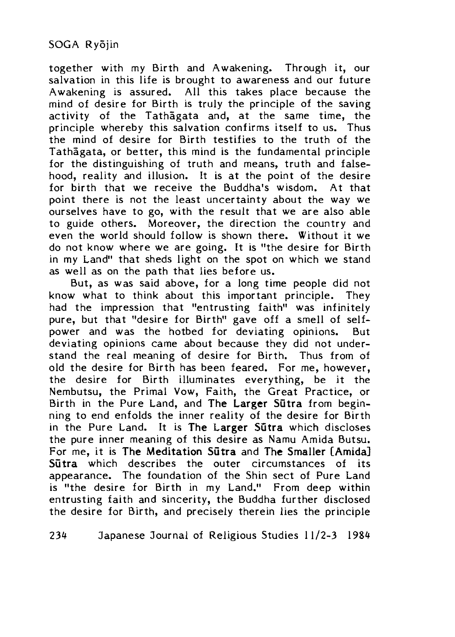# SOGA Ry5jin

together with my Birth and Awakening. Through it, our salvation in this life is brought to awareness and our future Awakening is assured. All this takes place because the mind of desire for Birth is truly the principle of the saving activity of the Tathagata and, at the same time, the principle whereby this salvation confirms itself to us. Thus the mind of desire for Birth testifies to the truth of the Tathagata, or better, this mind is the fundamental principle for the distinguishing of truth and means, truth and falsehood, reality and illusion. It is at the point of the desire for birth that we receive the Buddha's wisdom. At that point there is not the least uncertainty about the way we ourselves have to go, with the result that we are also able to guide others. Moreover, the direction the country and even the world should follow is shown there. Without it we do not know where we are going. It is "the desire for Birth in my Land" that sheds light on the spot on which we stand as well as on the path that lies before us.

But, as was said above, for a long time people did not know what to think about this important principle. They had the impression that "entrusting faith" was infinitely pure, but that "desire for Birth" gave off a smell of selfpower and was the hotbed for deviating opinions. But deviating opinions came about because they did not understand the real meaning of desire for Birth. Thus from of old the desire for Birth has been feared. For me, however, the desire for Birth illuminates everything, be it the Nembutsu, the Primal Vow, Faith, the Great Practice, or Birth in the Pure Land, and The Larger Sutra from beginning to end enfolds the inner reality of the desire for Birth in the Pure Land. It is The Larger Sutra which discloses the pure inner meaning of this desire as Namu Amida Butsu. For me, it is The Meditation Sutra and The Smaller [Amida] Sutra which describes the outer circumstances of its appearance. The foundation of the Shin sect of Pure Land is "the desire for Birth in my Land." From deep within entrusting faith and sincerity, the Buddha further disclosed the desire for Birth, and precisely therein lies the principle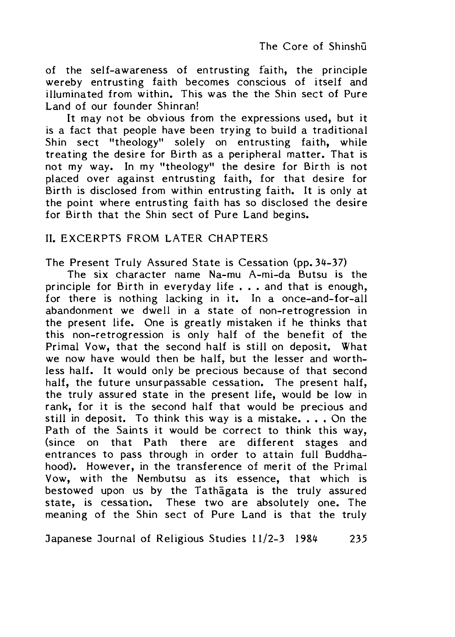of the self-awareness of entrusting faith, the principle wereby entrusting faith becomes conscious of itself and illuminated from within. This was the the Shin sect of Pure Land of our founder Shinran!

It may not be obvious from the expressions used, but it is a fact that people have been trying to build a traditional Shin sect "theology" solely on entrusting faith, while treating the desire for Birth as a peripheral matter. That is not my way. In my "theology" the desire for Birth is not placed over against entrusting faith, for that desire for Birth is disclosed from within entrusting faith. It is only at the point where entrusting faith has so disclosed the desire for Birth that the Shin sect of Pure Land begins,

### II. EXCERPTS FROM LATER CHAPTERS

The Present Truly Assured State is Cessation (pp. 34-37)

The six character name Na-mu A-mi-da Butsu is the principle for Birth in everyday life *•* . . and that is enough, for there is nothing lacking in it. In a once-and-for-all abandonment we dwell in a state of non-retrogression in the present life. One is greatly mistaken if he thinks that this non-retrogression is only half of the benefit of the Primal Vow, that the second half is still on deposit. What we now have would then be half, but the lesser and worthless half. It would only be precious because of that second half, the future unsurpassable cessation. The present half. the truly assured state in the present life, would be low in rank, for it is the second half that would be precious and still in deposit. To think this way is a mistake. . • . On the Path of the Saints it would be correct to think this way, (since on that Path there are different stages and entrances to pass through in order to attain full Buddhahood). However, in the transference of merit of the Primal Vow, with the Nembutsu as its essence, that which is bestowed upon us by the Tathagata is the truly assured state, is cessation. These two are absolutely one. The meaning of the Shin sect of Pure Land is that the truly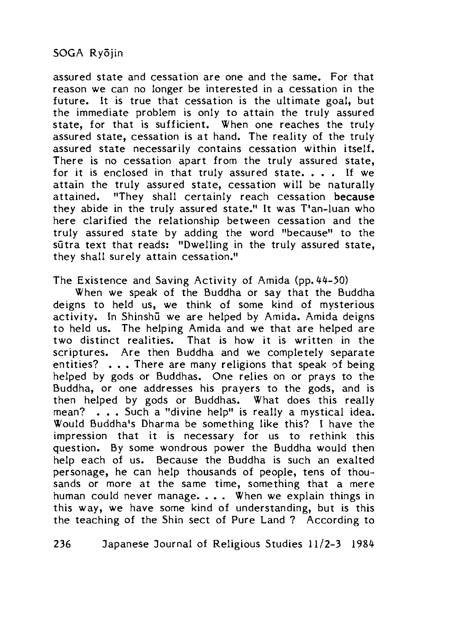## SOGA Ryōjin

assured state and cessation are one and the same. For that reason we can no longer be interested in a cessation in the future. It is true that cessation is the ultimate goal, but the immediate problem is only to attain the truly assured state, for that is sufficient. When one reaches the truly assured state, cessation is at hand. The reality of the truly assured state necessarily contains cessation within itself. There is no cessation apart from the truly assured state, for it is enclosed in that truly assured state. . . . If we attain the truly assured state, cessation will be naturally attained. "They shall certainly reach cessation because they abide in the truly assured state." It was T'an-luan who here clarified the relationship between cessation and the truly assured state by adding the word "because" to the sutra text that reads: "Dwelling in the truly assured state, they shall surely attain cessation."

The Existence and Saving Activity of Amida (pp. 44-50)

When we speak of the Buddha or say that the Buddha deigns to held us, we think of some kind of mysterious activity. In Shinshū we are helped by Amida. Amida deigns to held us. The helping Amida and we that are helped are two distinct realities. That is how it is written in the scriptures. Are then Buddha and we completely separate entities? ... There are many religions that speak of being helped by gods or Buddhas. One relies on or prays to the Buddha, or one addresses his prayers to the gods, and is then helped by gods or Buddhas, What does this really mean? . . . Such a "divine help" is really a mystical idea. Would Buddha's Dharma be something like this? I have the impression that it is necessary for us to rethink this question. By some wondrous power the Buddha would then help each of us. Because the Buddha is such an exalted personage, he can help thousands of people, tens of thousands or more at the same time, something that a mere human could never manage.... When we explain things in this way, we have some kind of understanding, but is this the teaching of the Shin sect of Pure Land ? According to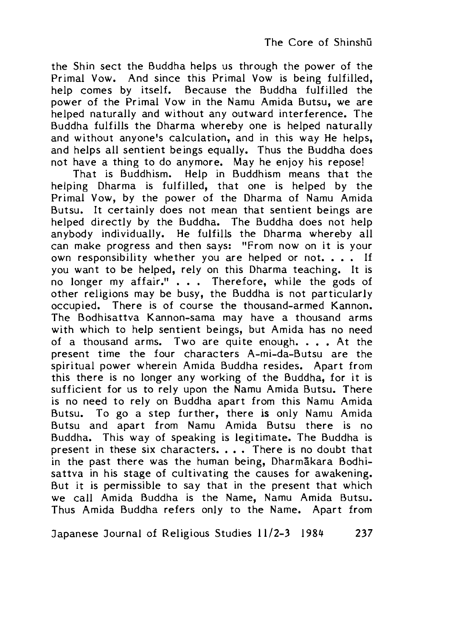the Shin sect the Buddha helps us through the power of the Primal Vow. And since this Primal Vow is being fulfilled, help comes by itself. Because the Buddha fulfilled the power of the Primal Vow in the Namu Amida Butsu, we are helped naturally and without any outward interference. The Buddha fulfills the Dharma whereby one is helped naturally and without anyone's calculation, and in this way He helps, and helps all sentient beings equally. Thus the Buddha does not have a thing to do anymore. May he enjoy his repose!

That is Buddhism. Help in Buddhism means that the helping Dharma is fulfilled, that one is helped by the Primal Vow, by the power of the Dharma of Namu Amida Butsu. It certainly does not mean that sentient beings are helped directly by the Buddha. The Buddha does not help anybody individually. He fulfills the Dharma whereby all can make progress and then says: "From now on it is your own responsibility whether you are helped or not. . . . If you want to be helped, rely on this Dharma teaching. It is no longer my affair." . *•* . Therefore, while the gods of other religions may be busy, the Buddha is not particularly occupied. There is of course the thousand-armed Kannon. The Bodhisattva Kannon-sama may have a thousand arms with which to help sentient beings, but Amida has no need of a thousand arms. Two are quite enough. . . . At the present time the four characters A-mi-da-Butsu are the spiritual power wherein Amida Buddha resides. Apart from this there is no longer any working of the Buddha, for it is sufficient for us to rely upon the Namu Amida Butsu. There is no need to rely on Buddha apart from this Namu Amida Butsu. To go a step further, there is only Namu Amida Butsu and apart from Namu Amida Butsu there is no Buddha. This way of speaking is legitimate. The Buddha is present in these six characters, . . . There is no doubt that in the past there was the human being, Dharmakara Bodhisattva in his stage of cultivating the causes for awakening. But it is permissible to say that in the present that which we call Amida Buddha is the Name, Namu Amida Butsu. Thus Amida Buddha refers only to the Name. Apart from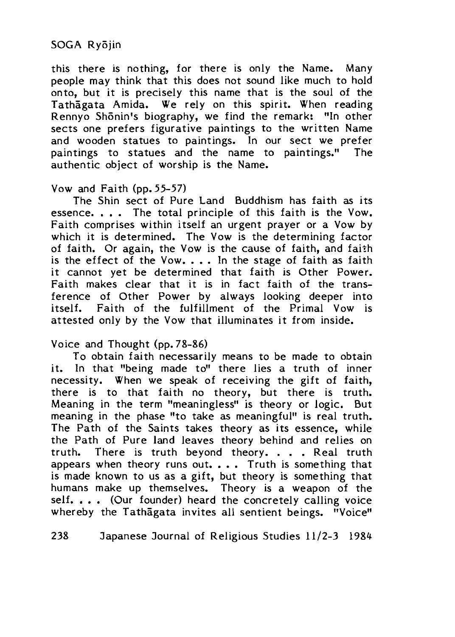## SOGA Ryōjin

this there is nothing, for there is only the Name. Many people may think that this does not sound like much to hold onto, but it is precisely this name that is the soul of the Tathagata Amida. We rely on this spirit. When reading Rennyo Shōnin's biography, we find the remark: "In other sects one prefers figurative paintings to the written Name and wooden statues to paintings. In our sect we prefer paintings to statues and the name to paintings." The authentic object of worship is the Name.

### Vow and Faith (pp. 55-57)

The Shin sect of Pure Land Buddhism has faith as its essence. . . . The total principle of this faith is the Vow. Faith comprises within itself an urgent prayer or a Vow by which it is determined. The Vow is the determining factor of faith. Or again, the Vow is the cause of faith, and faith is the effect of the  $Vow...$  . In the stage of faith as faith it cannot yet be determined that faith is Other Power. Faith makes clear that it is in fact faith of the transference of Other Power by always looking deeper into itself. Faith of the fulfillment of the Primal Vow is attested only by the Vow that illuminates it from inside.

### Voice and Thought (pp. 78-86)

To obtain faith necessarily means to be made to obtain it. In that "being made to" there lies a truth of inner necessity. When we speak of receiving the gift of faith, there is to that faith no theory, but there is truth. Meaning in the term "meaningless" is theory or logic. But meaning in the phase "to take as meaningful" is real truth. The Path of the Saints takes theory as its essence, while the Path of Pure land leaves theory behind and relies on truth. There is truth beyond theory. . . . Real truth appears when theory runs out. . . . Truth is something that is made known to us as a gift, but theory is something that humans make up themselves. Theory is a weapon of the self. . . . (Our founder) heard the concretely calling voice whereby the Tathagata invites all sentient beings. "Voice"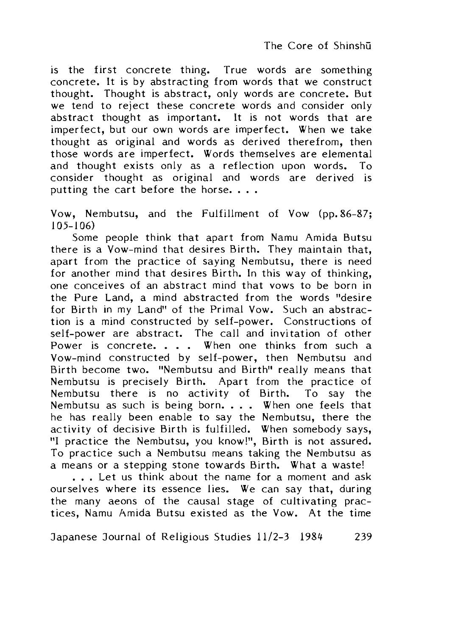is the first concrete thing. True words are something concrete. It is by abstracting from words that we construct thought. Thought is abstract, only words are concrete. But we tend to reject these concrete words and consider only abstract thought as important. It is not words that are imperfect, but our own words are imperfect. When we take thought as original and words as derived therefrom, then those words are imperfect. Words themselves are elemental and thought exists only as a reflection upon words. To consider thought as original and words are derived is putting the cart before the horse....

Vow, Nembutsu, and the Fulfillment of Vow (pp. 86-87; 103-106)

Some people think that apart from Namu Amida Butsu there is a Vow-mind that desires Birth. They maintain that, apart from the practice of saying Nembutsu, there is need for another mind that desires Birth. In this way of thinking, one conceives of an abstract mind that vows to be born in the Pure Land, a mind abstracted from the words "desire for Birth in my Land" of the Primal Vow. Such an abstraction is a mind constructed by self-power. Constructions of self-power are abstract. The call and invitation of other Power is concrete. . . . When one thinks from such a Vow-mind constructed by self-power, then Nembutsu and Birth become two. "Nembutsu and Birth" really means that Nembutsu is precisely Birth. Apart from the practice of Nembutsu there is no activity of Birth. To say the Nembutsu as such is being born. . . . When one feels that he has really been enable to say the Nembutsu, there the activity of decisive Birth is fulfilled. When somebody says, "I practice the Nembutsu, you know!", Birth is not assured. To practice such a Nembutsu means taking the Nembutsu as a means or a stepping stone towards Birth, What a waste!

. . . let us think about the name for a moment and ask ourselves where its essence lies. We can say that, during the many aeons of the causal stage of cultivating practices, Namu Amida Butsu existed as the Vow. At the time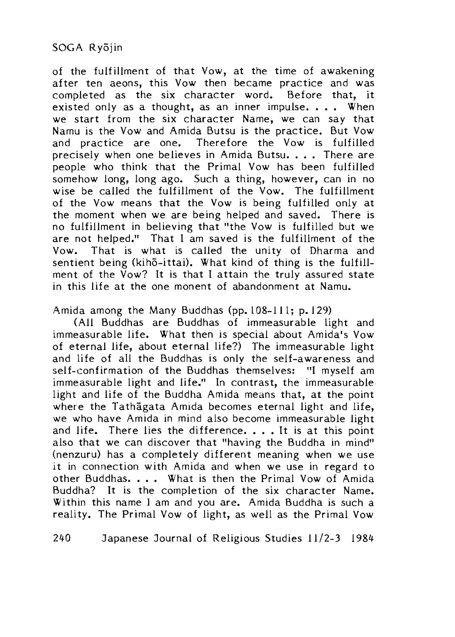# SOGA Ryojin

of the fulfillment of that Vow, at the time of awakening after ten aeons, this Vow then became practice and was completed as the six character word. Before that, it existed only as a thought, as an inner impulse. . . . When we start from the six character Name, we can say that Namu is the Vow and Amida Butsu is the practice. But Vow and practice are one. Therefore the Vow is fulfilled precisely when one believes in Amida Butsu. . . . There are people who think that the Primal Vow has been fulfilled somehow long, long ago. Such a thing, however, can in no wise be called the fulfillment of the Vow. The fulfillment of the Vow means that the Vow is being fulfilled only at the moment when we are being helped and saved. There is no fulfillment in believing that "the Vow is fulfilled but we are not helped." That I am saved is the fulfillment of the Vow. That is what is called the unity of Dharma and sentient being (kih5-ittai). What kind of thing is the fulfillment of the Vow? It is that I attain the truly assured state in this life at the one monent of abandonment at Namu.

Amida among the Many Buddhas (pp. L08-11L; p. 129)

(All Buddhas are Buddhas of immeasurable Light and immeasurable life. What then is special about Amida's Vow of eternal life, about eternal life?) The immeasurable light and Life of all the Buddhas is only the self-awareness and self-confirmation of the Buddhas themselves: "I myself am immeasurable light and life." In contrast, the immeasurable light and life of the Buddha Amida means that, at the point where the Tathagata Amida becomes eternal light and life, we who have Amida in mind also become immeasurable light and life. There lies the difference. . . . It is at this point also that we can discover that "having the Buddha in mind" (nenzuru) has a completely different meaning when we use it in connection with Amida and when we use in regard to other Buddhas. . . . What is then the Primal Vow of Amida Buddha? It is the completion of the six character Name. Within this name I am and you are. Amida Buddha is such a reality. The Primal Vow of light, as well as the Primal Vow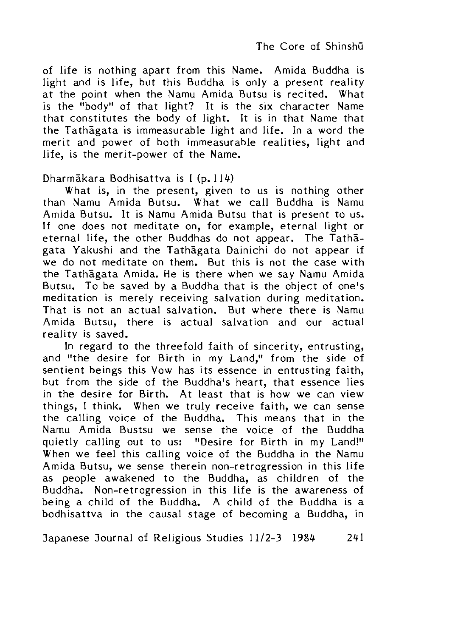of life is nothing apart from this Name. Amida Buddha is light and is life, but this Buddha is only a present reality at the point when the Namu Amida Butsu is recited. What is the "body" of that light? It is the six character Name that constitutes the body of light. It is in that Name that the Tathagata is immeasurable light and life. In a word the merit and power of both immeasurable realities, light and life, is the merit-power of the Name.

Dharmākara Bodhisattva is I (p. 114)

What is, in the present, given to us is nothing other than Namu Amida Butsu. What we call Buddha is Namu Amida Butsu. It is Namu Amida Butsu that is present to us. If one does not meditate on, for example, eternal light or eternal life, the other Buddhas do not appear. The Tathagata Yakushi and the Tathagata Dainichi do not appear if we do not meditate on them. But this is not the case with the Tathagata Amida. He is there when we say Namu Amida Butsu. To be saved by a Buddha that is the object of one's meditation is merely receiving salvation during meditation. That is not an actual salvation. But where there is Namu Amida Butsu, there is actual salvation and our actual reality is saved.

In regard to the threefold faith of sincerity, entrusting, and "the desire for Birth in my Land," from the side of sentient beings this Vow has its essence in entrusting faith, but from the side of the Buddha's heart, that essence lies in the desire for Birth, At least that is how we can view things, I think. When we truly receive faith, we can sense the calling voice of the Buddha. This means that in the Namu Amida Bustsu we sense the voice of the Buddha quietly calling out to us: "Desire for Birth in my Land!" When we feel this calling voice of the Buddha in the Namu Amida Butsu, we sense therein non-retrogression in this life as people awakened to the Buddha, as children of the Buddha. Non-retrogression in this life is the awareness of being a child of the Buddha. A child of the Buddha is a bodhisattva in the causal stage of becoming a Buddha, in